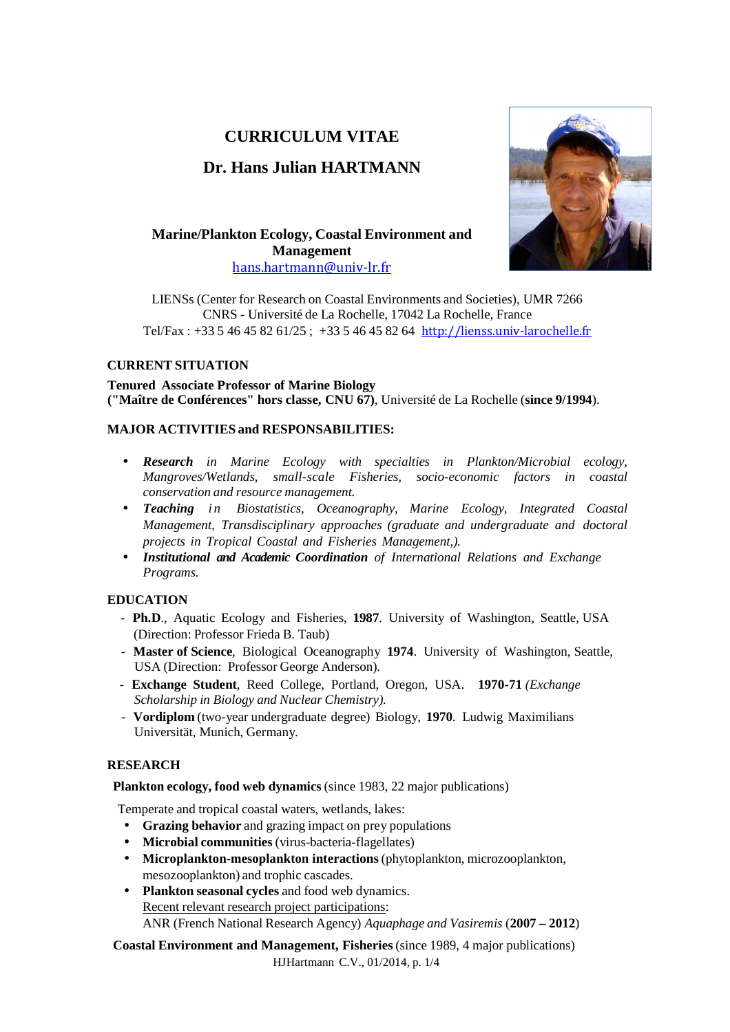# **CURRICULUM VITAE**

# **Dr. Hans Julian HARTMANN**



**Marine/Plankton Ecology, Coastal Environment and Management** hans.hartmann@univ-lr.fr

LIENSs (Center for Research on Coastal Environments and Societies), UMR 7266 CNRS - Université de La Rochelle, 17042 La Rochelle, France Tel/Fax : +33 5 46 45 82 61/25 ; +33 5 46 45 82 64 http://lienss.univ-larochelle.fr

# **CURRENT SITUATION**

**Tenured Associate Professor of Marine Biology ("Maître de Conférences" hors classe, CNU 67)**, Université de La Rochelle (**since 9/1994**).

# **MAJOR ACTIVITIES and RESPONSABILITIES:**

- *Research in Marine Ecology with specialties in Plankton/Microbial ecology, Mangroves/Wetlands, small-scale Fisheries, socio-economic factors in coastal conservation and resource management.*
- **Teaching** *in Biostatistics, Oceanography, Marine Ecology, Integrated Coastal Management, Transdisciplinary approaches (graduate and undergraduate and doctoral projects in Tropical Coastal and Fisheries Management,).*
- *Institutional and Academic Coordination of International Relations and Exchange Programs.*

# **EDUCATION**

- **Ph.D**., Aquatic Ecology and Fisheries, **1987**. University of Washington, Seattle, USA (Direction: Professor Frieda B. Taub)
- **Master of Science**, Biological Oceanography **1974**. University of Washington, Seattle, USA (Direction: Professor George Anderson).
- **Exchange Student**, Reed College, Portland, Oregon, USA. **1970-71** *(Exchange Scholarship in Biology and Nuclear Chemistry).*
- **Vordiplom** (two-year undergraduate degree) Biology, **1970**. Ludwig Maximilians Universität, Munich, Germany.

# **RESEARCH**

**Plankton ecology, food web dynamics** (since 1983, 22 major publications)

Temperate and tropical coastal waters, wetlands, lakes:

- **Grazing behavior** and grazing impact on prey populations
- **Microbial communities** (virus-bacteria-flagellates)
- **Microplankton-mesoplankton interactions** (phytoplankton, microzooplankton, mesozooplankton) and trophic cascades.
- **Plankton seasonal cycles** and food web dynamics. Recent relevant research project participations: ANR (French National Research Agency) *Aquaphage and Vasiremis* (**2007 – 2012**)

HJHartmann C.V., 01/2014, p. 1/4 **Coastal Environment and Management, Fisheries** (since 1989, 4 major publications)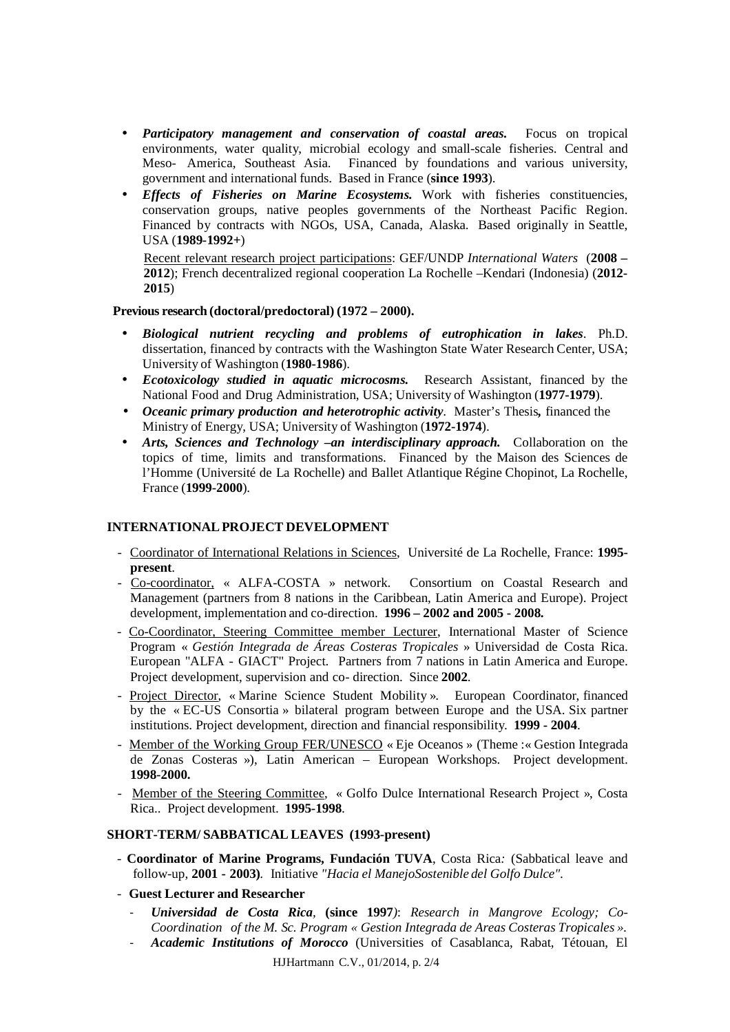- *Participatory management and conservation of coastal areas.* Focus on tropical environments, water quality, microbial ecology and small-scale fisheries. Central and Meso- America, Southeast Asia. Financed by foundations and various university, government and international funds. Based in France (**since 1993**).
- *Effects of Fisheries on Marine Ecosystems.* Work with fisheries constituencies, conservation groups, native peoples governments of the Northeast Pacific Region. Financed by contracts with NGOs, USA, Canada, Alaska. Based originally in Seattle, USA (**1989-1992+**)

Recent relevant research project participations: GEF/UNDP *International Waters* (**2008 – 2012**); French decentralized regional cooperation La Rochelle –Kendari (Indonesia) (**2012- 2015**)

#### **Previous research (doctoral/predoctoral) (1972 – 2000).**

- *Biological nutrient recycling and problems of eutrophication in lakes*. Ph.D. dissertation, financed by contracts with the Washington State Water Research Center, USA; University of Washington (**1980-1986**).
- *Ecotoxicology studied in aquatic microcosms.* Research Assistant, financed by the National Food and Drug Administration, USA; University of Washington (**1977-1979**).
- *Oceanic primary production and heterotrophic activity*. Master's Thesis*,* financed the Ministry of Energy, USA; University of Washington (**1972-1974**).
- *Arts, Sciences and Technology –an interdisciplinary approach.* Collaboration on the topics of time, limits and transformations. Financed by the Maison des Sciences de l'Homme (Université de La Rochelle) and Ballet Atlantique Régine Chopinot, La Rochelle, France (**1999-2000**).

#### **INTERNATIONAL PROJECT DEVELOPMENT**

- Coordinator of International Relations in Sciences, Université de La Rochelle, France: **1995 present**.
- Co-coordinator, « ALFA-COSTA » network. Consortium on Coastal Research and Management (partners from 8 nations in the Caribbean, Latin America and Europe). Project development, implementation and co-direction. **1996 – 2002 and 2005 - 2008.**
- Co-Coordinator, Steering Committee member Lecturer, International Master of Science Program « *Gestión Integrada de Áreas Costeras Tropicales* » Universidad de Costa Rica. European "ALFA - GIACT" Project. Partners from 7 nations in Latin America and Europe. Project development, supervision and co- direction. Since **2002**.
- Project Director, « Marine Science Student Mobility ». European Coordinator, financed by the « EC-US Consortia » bilateral program between Europe and the USA. Six partner institutions. Project development, direction and financial responsibility. **1999 - 2004**.
- Member of the Working Group FER/UNESCO « Eje Oceanos » (Theme :« Gestion Integrada de Zonas Costeras »), Latin American – European Workshops. Project development. **1998-2000.**
- Member of the Steering Committee, « Golfo Dulce International Research Project », Costa Rica.. Project development. **1995-1998**.

#### **SHORT-TERM/ SABBATICAL LEAVES (1993-present)**

- **Coordinator of Marine Programs, Fundación TUVA**, Costa Rica*:* (Sabbatical leave and follow-up*,* **2001 - 2003)***.* Initiative *"Hacia el ManejoSostenible del Golfo Dulce".*

#### - **Guest Lecturer and Researcher**

- *Universidad de Costa Rica,* **(since 1997***)*: *Research in Mangrove Ecology; Co-Coordination of the M. Sc. Program « Gestion Integrada de Areas Costeras Tropicales ».*
- *Academic Institutions of Morocco* (Universities of Casablanca, Rabat, Tétouan, El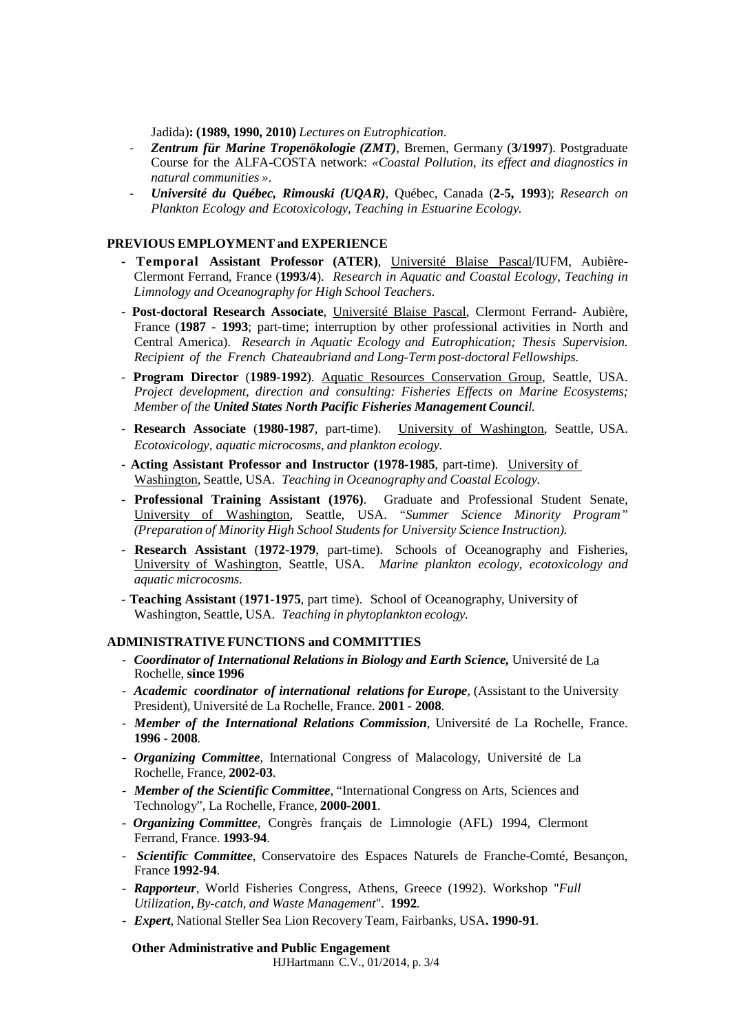Jadida)**: (1989, 1990, 2010)** *Lectures on Eutrophication*.

- *Zentrum für Marine Tropenökologie (ZMT)*, Bremen, Germany (**3/1997**). Postgraduate Course for the ALFA-COSTA network: *«Coastal Pollution, its effect and diagnostics in natural communities »*.
- *Université du Québec, Rimouski (UQAR)*, Québec, Canada (**2-5, 1993**); *Research on Plankton Ecology and Ecotoxicology, Teaching in Estuarine Ecology.*

#### **PREVIOUS EMPLOYMENT and EXPERIENCE**

- **Temporal Assistant Professor (ATER)**, Université Blaise Pascal/IUFM, Aubière-Clermont Ferrand, France (**1993/4**). *Research in Aquatic and Coastal Ecology*, *Teaching in Limnology and Oceanography for High School Teachers*.
- **Post-doctoral Research Associate**, Université Blaise Pascal, Clermont Ferrand- Aubière, France (**1987 - 1993**; part-time; interruption by other professional activities in North and Central America). *Research in Aquatic Ecology and Eutrophication; Thesis Supervision. Recipient of the French Chateaubriand and Long-Term post-doctoral Fellowships.*
- **Program Director** (**1989-1992**). Aquatic Resources Conservation Group, Seattle, USA. *Project development, direction and consulting: Fisheries Effects on Marine Ecosystems; Member of the United States North Pacific Fisheries Management Council.*
- **Research Associate** (**1980-1987**, part-time). University of Washington, Seattle, USA. *Ecotoxicology, aquatic microcosms, and plankton ecology.*
- **Acting Assistant Professor and Instructor (1978-1985**, part-time). University of Washington, Seattle, USA. *Teaching in Oceanography and Coastal Ecology.*
- **Professional Training Assistant (1976)**. Graduate and Professional Student Senate, University of Washington, Seattle, USA. "*Summer Science Minority Program" (Preparation of Minority High School Students for University Science Instruction).*
- **Research Assistant** (**1972-1979**, part-time). Schools of Oceanography and Fisheries, University of Washington, Seattle, USA. *Marine plankton ecology, ecotoxicology and aquatic microcosms.*
- **Teaching Assistant** (**1971-1975**, part time). School of Oceanography, University of Washington, Seattle, USA. *Teaching in phytoplankton ecology.*

#### **ADMINISTRATIVE FUNCTIONS and COMMITTIES**

- *Coordinator of International Relations in Biology and Earth Science,* Université de La Rochelle, **since 1996**
- *Academic coordinator of international relations for Europe*, (Assistant to the University President), Université de La Rochelle, France. **2001 - 2008**.
- *Member of the International Relations Commission*, Université de La Rochelle, France. **1996 - 2008**.
- *Organizing Committee*, International Congress of Malacology, Université de La Rochelle, France, **2002-03**.
- *Member of the Scientific Committee*, "International Congress on Arts, Sciences and Technology", La Rochelle, France, **2000-2001**.
- *Organizing Committee*, Congrès français de Limnologie (AFL) 1994, Clermont Ferrand, France. **1993-94**.
- *Scientific Committee*, Conservatoire des Espaces Naturels de Franche-Comté, Besançon, France **1992-94**.
- *Rapporteur*, World Fisheries Congress, Athens, Greece (1992). Workshop "*Full Utilization, By-catch, and Waste Management*". **1992**.
- *Expert*, National Steller Sea Lion Recovery Team, Fairbanks, USA**. 1990-91**.

**Other Administrative and Public Engagement**

HJHartmann C.V., 01/2014, p. 3/4